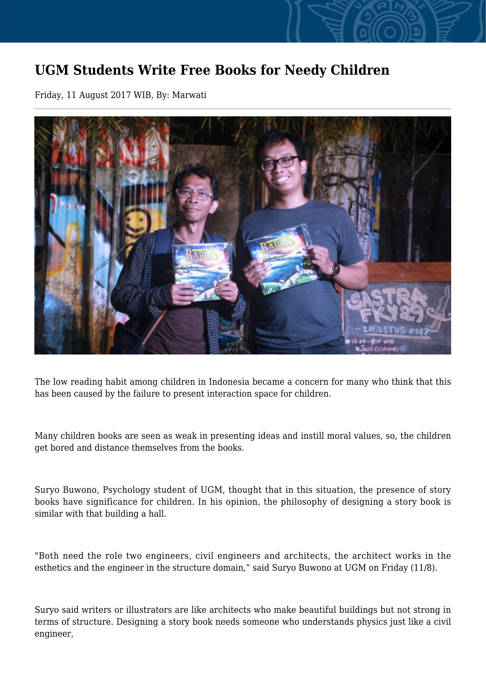## **UGM Students Write Free Books for Needy Children**

Friday, 11 August 2017 WIB, By: Marwati



The low reading habit among children in Indonesia became a concern for many who think that this has been caused by the failure to present interaction space for children.

Many children books are seen as weak in presenting ideas and instill moral values, so, the children get bored and distance themselves from the books.

Suryo Buwono, Psychology student of UGM, thought that in this situation, the presence of story books have significance for children. In his opinion, the philosophy of designing a story book is similar with that building a hall.

"Both need the role two engineers, civil engineers and architects, the architect works in the esthetics and the engineer in the structure domain," said Suryo Buwono at UGM on Friday (11/8).

Suryo said writers or illustrators are like architects who make beautiful buildings but not strong in terms of structure. Designing a story book needs someone who understands physics just like a civil engineer,